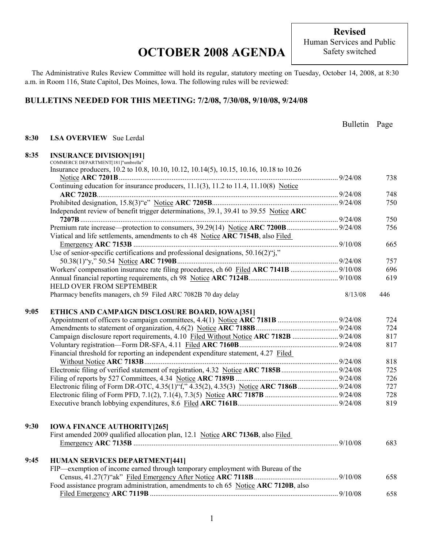**Revised**  Human Services and Public Safety switched

The Administrative Rules Review Committee will hold its regular, statutory meeting on Tuesday, October 14, 2008, at 8:30 a.m. in Room 116, State Capitol, Des Moines, Iowa. The following rules will be reviewed:

### **BULLETINS NEEDED FOR THIS MEETING: 7/2/08, 7/30/08, 9/10/08, 9/24/08**

|      |                                                                                         | Bulletin Page |     |
|------|-----------------------------------------------------------------------------------------|---------------|-----|
| 8:30 | <b>LSA OVERVIEW</b> Sue Lerdal                                                          |               |     |
|      |                                                                                         |               |     |
| 8:35 | <b>INSURANCE DIVISION[191]</b>                                                          |               |     |
|      | COMMERCE DEPARTMENT[181]"umbrella"                                                      |               |     |
|      | Insurance producers, 10.2 to 10.8, 10.10, 10.12, 10.14(5), 10.15, 10.16, 10.18 to 10.26 |               |     |
|      |                                                                                         |               | 738 |
|      | Continuing education for insurance producers, 11.1(3), 11.2 to 11.4, 11.10(8) Notice    |               |     |
|      |                                                                                         |               | 748 |
|      |                                                                                         |               | 750 |
|      | Independent review of benefit trigger determinations, 39.1, 39.41 to 39.55 Notice ARC   |               |     |
|      |                                                                                         |               | 750 |
|      |                                                                                         |               | 756 |
|      | Viatical and life settlements, amendments to ch 48 Notice ARC 7154B, also Filed         |               |     |
|      |                                                                                         |               | 665 |
|      | Use of senior-specific certifications and professional designations, 50.16(2)"j,"       |               |     |
|      |                                                                                         |               | 757 |
|      | Workers' compensation insurance rate filing procedures, ch 60 Filed ARC 7141B  9/10/08  |               | 696 |
|      | HELD OVER FROM SEPTEMBER                                                                |               | 619 |
|      | Pharmacy benefits managers, ch 59 Filed ARC 7082B 70 day delay                          | 8/13/08       | 446 |
|      |                                                                                         |               |     |
| 9:05 | ETHICS AND CAMPAIGN DISCLOSURE BOARD, IOWA[351]                                         |               |     |
|      |                                                                                         |               | 724 |
|      |                                                                                         |               | 724 |
|      | Campaign disclosure report requirements, 4.10 Filed Without Notice ARC 7182B  9/24/08   |               | 817 |
|      |                                                                                         |               | 817 |
|      | Financial threshold for reporting an independent expenditure statement, 4.27 Filed      |               |     |
|      |                                                                                         |               | 818 |
|      |                                                                                         |               | 725 |
|      |                                                                                         |               | 726 |
|      |                                                                                         |               | 727 |
|      |                                                                                         |               | 728 |
|      |                                                                                         |               | 819 |
|      |                                                                                         |               |     |
|      |                                                                                         |               |     |
| 9:30 | <b>IOWA FINANCE AUTHORITY [265]</b>                                                     |               |     |
|      | First amended 2009 qualified allocation plan, 12.1 Notice ARC 7136B, also Filed         |               |     |
|      |                                                                                         |               | 683 |
|      |                                                                                         |               |     |
| 9:45 | <b>HUMAN SERVICES DEPARTMENT[441]</b>                                                   |               |     |
|      | FIP—exemption of income earned through temporary employment with Bureau of the          |               |     |
|      |                                                                                         |               | 658 |
|      | Food assistance program administration, amendments to ch 65 Notice ARC 7120B, also      |               |     |
|      |                                                                                         |               | 658 |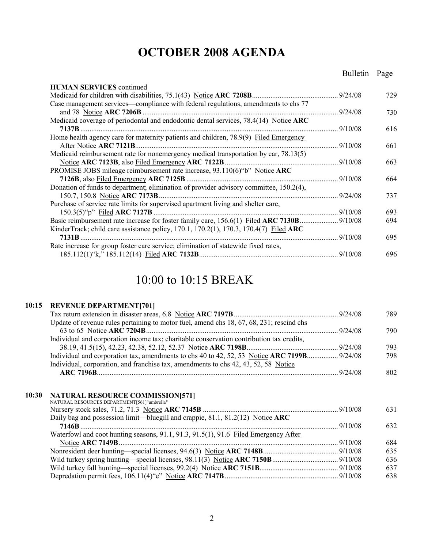### Bulletin Page

| <b>HUMAN SERVICES</b> continued                                                        |          |     |
|----------------------------------------------------------------------------------------|----------|-----|
|                                                                                        | 9/24/08  | 729 |
| Case management services—compliance with federal regulations, amendments to chs 77     |          |     |
|                                                                                        | 9/24/08  | 730 |
| Medicaid coverage of periodontal and endodontic dental services, 78.4(14) Notice ARC   |          |     |
|                                                                                        | 9/10/08  | 616 |
| Home health agency care for maternity patients and children, 78.9(9) Filed Emergency   |          |     |
|                                                                                        | .9/10/08 | 661 |
| Medicaid reimbursement rate for nonemergency medical transportation by car, 78.13(5)   |          |     |
| Notice ARC 7123B, also Filed Emergency ARC 7122B                                       | .9/10/08 | 663 |
| PROMISE JOBS mileage reimbursement rate increase, $93.110(6)$ "b" Notice ARC           |          |     |
|                                                                                        | .9/10/08 | 664 |
| Donation of funds to department; elimination of provider advisory committee, 150.2(4), |          |     |
|                                                                                        | 9/24/08  | 737 |
| Purchase of service rate limits for supervised apartment living and shelter care,      |          |     |
|                                                                                        | .9/10/08 | 693 |
|                                                                                        |          | 694 |
| KinderTrack; child care assistance policy, 170.1, 170.2(1), 170.3, 170.4(7) Filed ARC  |          |     |
| 7131B                                                                                  | 9/10/08  | 695 |
| Rate increase for group foster care service; elimination of statewide fixed rates,     |          |     |
|                                                                                        |          | 696 |

### 10:00 to 10:15 BREAK

### **10:15 REVENUE DEPARTMENT[701]**

|                                                                                             | 789 |
|---------------------------------------------------------------------------------------------|-----|
| Update of revenue rules pertaining to motor fuel, amend chs 18, 67, 68, 231; rescind chs    |     |
|                                                                                             | 790 |
| Individual and corporation income tax; charitable conservation contribution tax credits,    |     |
|                                                                                             | 793 |
| Individual and corporation tax, amendments to chs 40 to 42, 52, 53 Notice ARC 7199B 9/24/08 | 798 |
| Individual, corporation, and franchise tax, amendments to chs 42, 43, 52, 58 Notice         |     |
| ARC 7196B $9/24/08$                                                                         | 802 |

#### **10:30 NATURAL RESOURCE COMMISSION[571]**

| NATURAL RESOURCES DEPARTMENT[561]"umbrella"                                         |     |
|-------------------------------------------------------------------------------------|-----|
|                                                                                     | 631 |
| Daily bag and possession limit—bluegill and crappie, 81.1, 81.2(12) Notice ARC      |     |
|                                                                                     | 632 |
| Waterfowl and coot hunting seasons, 91.1, 91.3, 91.5(1), 91.6 Filed Emergency After |     |
|                                                                                     | 684 |
|                                                                                     | 635 |
|                                                                                     | 636 |
|                                                                                     | 637 |
|                                                                                     | 638 |
|                                                                                     |     |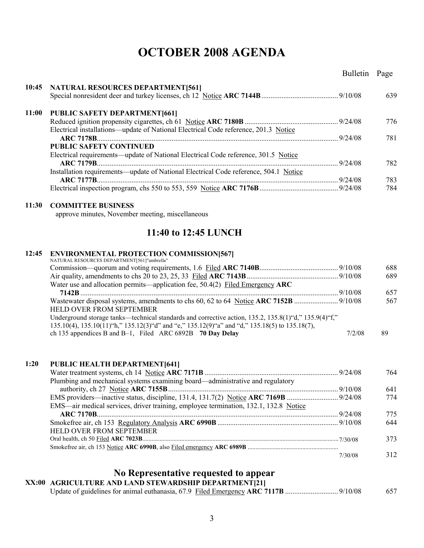|       |                                                                                                         | Bulletin Page |     |
|-------|---------------------------------------------------------------------------------------------------------|---------------|-----|
| 10:45 | <b>NATURAL RESOURCES DEPARTMENT[561]</b>                                                                |               |     |
|       |                                                                                                         |               | 639 |
|       |                                                                                                         |               |     |
| 11:00 | <b>PUBLIC SAFETY DEPARTMENT[661]</b>                                                                    |               |     |
|       |                                                                                                         |               | 776 |
|       | Electrical installations—update of National Electrical Code reference, 201.3 Notice                     |               |     |
|       |                                                                                                         |               | 781 |
|       | <b>PUBLIC SAFETY CONTINUED</b>                                                                          |               |     |
|       | Electrical requirements—update of National Electrical Code reference, 301.5 Notice                      |               |     |
|       | Installation requirements—update of National Electrical Code reference, 504.1 Notice                    |               | 782 |
|       |                                                                                                         |               | 783 |
|       |                                                                                                         |               | 784 |
|       |                                                                                                         |               |     |
| 11:30 | <b>COMMITTEE BUSINESS</b>                                                                               |               |     |
|       | approve minutes, November meeting, miscellaneous                                                        |               |     |
|       |                                                                                                         |               |     |
|       | 11:40 to 12:45 LUNCH                                                                                    |               |     |
| 12:45 | <b>ENVIRONMENTAL PROTECTION COMMISSION[567]</b>                                                         |               |     |
|       | NATURAL RESOURCES DEPARTMENT[561]"umbrella"                                                             |               |     |
|       |                                                                                                         |               | 688 |
|       |                                                                                                         |               | 689 |
|       | Water use and allocation permits—application fee, 50.4(2) Filed Emergency ARC                           |               |     |
|       |                                                                                                         |               | 657 |
|       | HELD OVER FROM SEPTEMBER                                                                                |               | 567 |
|       | Underground storage tanks—technical standards and corrective action, 135.2, 135.8(1) "d," 135.9(4) "f," |               |     |
|       | 135.10(4), 135.10(11) "h," 135.12(3) "d" and "e," 135.12(9) "a" and "d," 135.18(5) to 135.18(7),        |               |     |
|       | ch 135 appendices B and B-1, Filed ARC 6892B $\,$ 70 Day Delay                                          | 7/2/08        | 89  |
|       |                                                                                                         |               |     |

| 1:20 | <b>PUBLIC HEALTH DEPARTMENT[641]</b>                                                 |         |     |
|------|--------------------------------------------------------------------------------------|---------|-----|
|      |                                                                                      |         | 764 |
|      | Plumbing and mechanical systems examining board—administrative and regulatory        |         |     |
|      |                                                                                      |         | 641 |
|      |                                                                                      |         | 774 |
|      | EMS—air medical services, driver training, employee termination, 132.1, 132.8 Notice |         |     |
|      |                                                                                      |         | 775 |
|      |                                                                                      |         | 644 |
|      | <b>HELD OVER FROM SEPTEMBER</b>                                                      |         |     |
|      |                                                                                      |         | 373 |
|      |                                                                                      |         |     |
|      |                                                                                      | 7/30/08 | 312 |

### **No Representative requested to appear**

#### **XX:00 AGRICULTURE AND LAND STEWARDSHIP DEPARTMENT[21]** Update of guidelines for animal euthanasia, 67.9 Filed Emergency **ARC 7117B** ............................. 9/10/08 657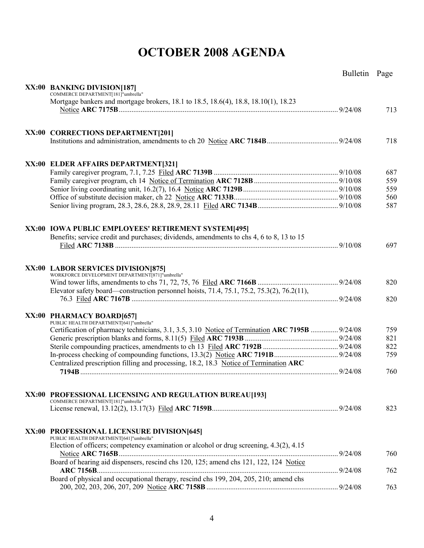|                                                                                                                                         | Bulletin Page |     |
|-----------------------------------------------------------------------------------------------------------------------------------------|---------------|-----|
|                                                                                                                                         |               |     |
| XX:00 BANKING DIVISION[187]<br>COMMERCE DEPARTMENT[181]"umbrella"                                                                       |               |     |
| Mortgage bankers and mortgage brokers, 18.1 to 18.5, 18.6(4), 18.8, 18.10(1), 18.23                                                     |               |     |
|                                                                                                                                         |               | 713 |
|                                                                                                                                         |               |     |
|                                                                                                                                         |               |     |
| XX:00 CORRECTIONS DEPARTMENT[201]                                                                                                       |               |     |
|                                                                                                                                         |               | 718 |
|                                                                                                                                         |               |     |
| XX:00 ELDER AFFAIRS DEPARTMENT[321]                                                                                                     |               |     |
|                                                                                                                                         |               | 687 |
|                                                                                                                                         |               | 559 |
|                                                                                                                                         |               | 559 |
|                                                                                                                                         |               | 560 |
|                                                                                                                                         |               | 587 |
|                                                                                                                                         |               |     |
|                                                                                                                                         |               |     |
| XX:00 IOWA PUBLIC EMPLOYEES' RETIREMENT SYSTEM[495]                                                                                     |               |     |
| Benefits; service credit and purchases; dividends, amendments to chs 4, 6 to 8, 13 to 15                                                |               |     |
|                                                                                                                                         |               | 697 |
|                                                                                                                                         |               |     |
| XX:00 LABOR SERVICES DIVISION[875]                                                                                                      |               |     |
| WORKFORCE DEVELOPMENT DEPARTMENT[871]"umbrella"                                                                                         |               |     |
|                                                                                                                                         |               | 820 |
| Elevator safety board—construction personnel hoists, $71.4$ , $75.1$ , $75.2$ , $75.3(2)$ , $76.2(11)$ ,                                |               |     |
|                                                                                                                                         |               | 820 |
|                                                                                                                                         |               |     |
| XX:00 PHARMACY BOARD[657]<br>PUBLIC HEALTH DEPARTMENT[641]"umbrella"                                                                    |               |     |
| Certification of pharmacy technicians, 3.1, 3.5, 3.10 Notice of Termination ARC 7195B  9/24/08                                          |               | 759 |
|                                                                                                                                         |               | 821 |
|                                                                                                                                         |               | 822 |
|                                                                                                                                         |               | 759 |
| Centralized prescription filling and processing, 18.2, 18.3 Notice of Termination ARC                                                   |               |     |
|                                                                                                                                         |               | 760 |
|                                                                                                                                         |               |     |
|                                                                                                                                         |               |     |
| XX:00 PROFESSIONAL LICENSING AND REGULATION BUREAU[193]<br>COMMERCE DEPARTMENT[181]"umbrella"                                           |               |     |
|                                                                                                                                         |               | 823 |
|                                                                                                                                         |               |     |
|                                                                                                                                         |               |     |
| XX:00 PROFESSIONAL LICENSURE DIVISION[645]                                                                                              |               |     |
| PUBLIC HEALTH DEPARTMENT[641]"umbrella"<br>Election of officers; competency examination or alcohol or drug screening, $4.3(2)$ , $4.15$ |               |     |
|                                                                                                                                         |               | 760 |
| Board of hearing aid dispensers, rescind chs 120, 125; amend chs 121, 122, 124 Notice                                                   |               |     |
|                                                                                                                                         |               | 762 |
| Board of physical and occupational therapy, rescind chs 199, 204, 205, 210; amend chs                                                   |               |     |
|                                                                                                                                         |               | 763 |
|                                                                                                                                         |               |     |